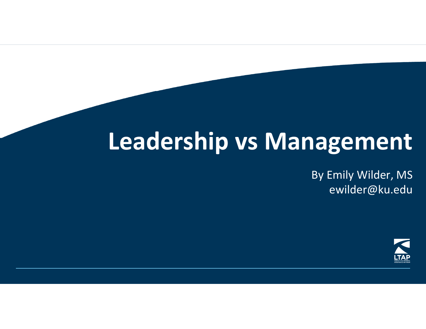# **Leadership vs Management**

By Emily Wilder, MS ewilder@ku.edu

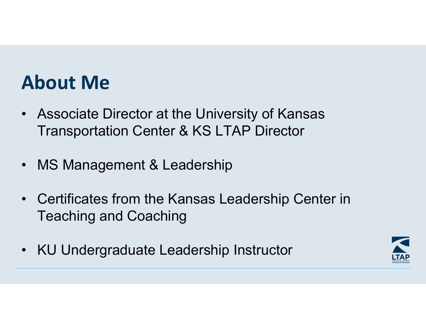### **About Me**

- $\bullet$  Associate Director at the University of Kansas Transportation Center & KS LTAP Director
- MS Management & Leadership
- Certificates from the Kansas Leadership Center in Teaching and Coaching
- $\bullet$ KU Undergraduate Leadership Instructor

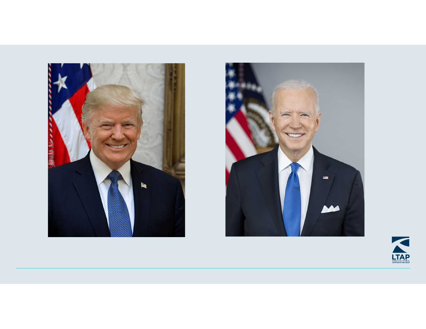



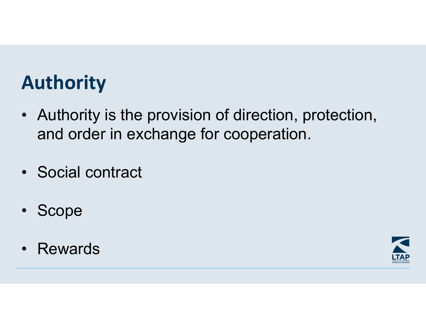## **Authority**

- Authority is the provision of direction, protection, and order in exchange for cooperation.
- Social contract
- Scope
- Rewards

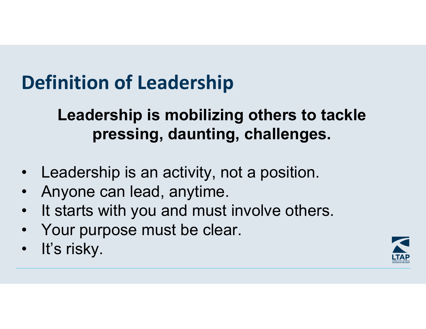## **Definition of Leadership**

### **Leadership is mobilizing others to tackle pressing, daunting, challenges.**

- •Leadership is an activity, not a position.
- •Anyone can lead, anytime.
- $\bullet$ It starts with you and must involve others.
- •Your purpose must be clear.
- •It's risky.

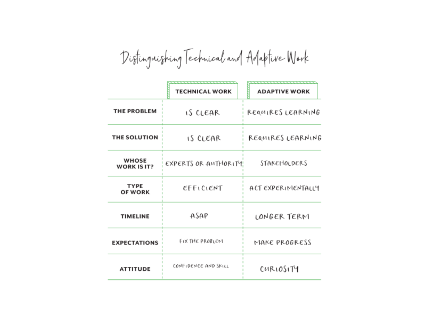Distinguishing Technical and Adaptive Work

|                                    | <b>TECHNICAL WORK</b> | <b>ADAPTIVE WORK</b> |
|------------------------------------|-----------------------|----------------------|
| <b>THE PROBLEM</b>                 | IS CLEAR              | REQUIRES LEARNING    |
| <b>THE SOLUTION</b>                | IS CLEAR              | REQUIRES LEARNING    |
| <b>WHOSE</b><br><b>WORK IS IT?</b> | EXPERTS OR AUTHORITY! | STAKEHOLDERS         |
| <b>TYPE</b><br><b>OF WORK</b>      | EFFICIENT             | ACT EXPERIMENTALLY   |
| <b>TIMELINE</b>                    | ASAP                  | LONGER TERM          |
| <b>EXPECTATIONS</b>                | FIX THE PROBLEM       | MAKE PROGRESS        |
| <b>ATTITUDE</b>                    | CONFIDENCE AND SKILL  | CURIOSITY            |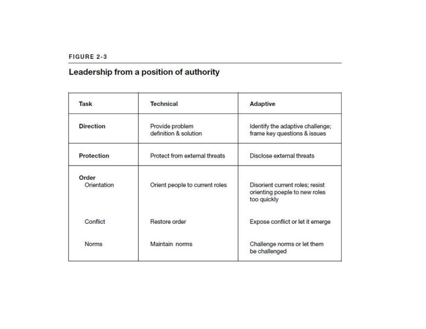#### **FIGURE 2-3**

### Leadership from a position of authority

| <b>Task</b>          | <b>Technical</b>                         | <b>Adaptive</b>                                                                 |
|----------------------|------------------------------------------|---------------------------------------------------------------------------------|
| <b>Direction</b>     | Provide problem<br>definition & solution | Identify the adaptive challenge;<br>frame key questions & issues                |
| Protection           | Protect from external threats            | Disclose external threats                                                       |
| Order<br>Orientation | Orient people to current roles           | Disorient current roles; resist<br>orienting poeple to new roles<br>too quickly |
| Conflict             | Restore order                            | Expose conflict or let it emerge                                                |
| <b>Norms</b>         | Maintain norms                           | Challenge norms or let them<br>be challenged                                    |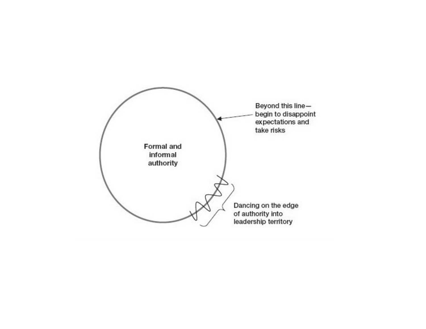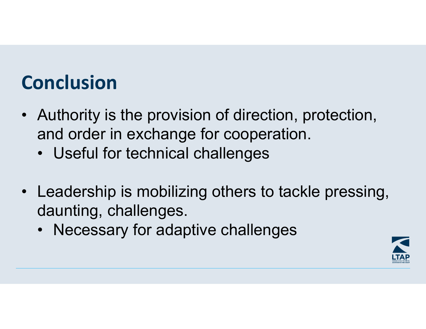## **Conclusion**

- Authority is the provision of direction, protection, and order in exchange for cooperation.
	- Useful for technical challenges
- Leadership is mobilizing others to tackle pressing, daunting, challenges.
	- Necessary for adaptive challenges